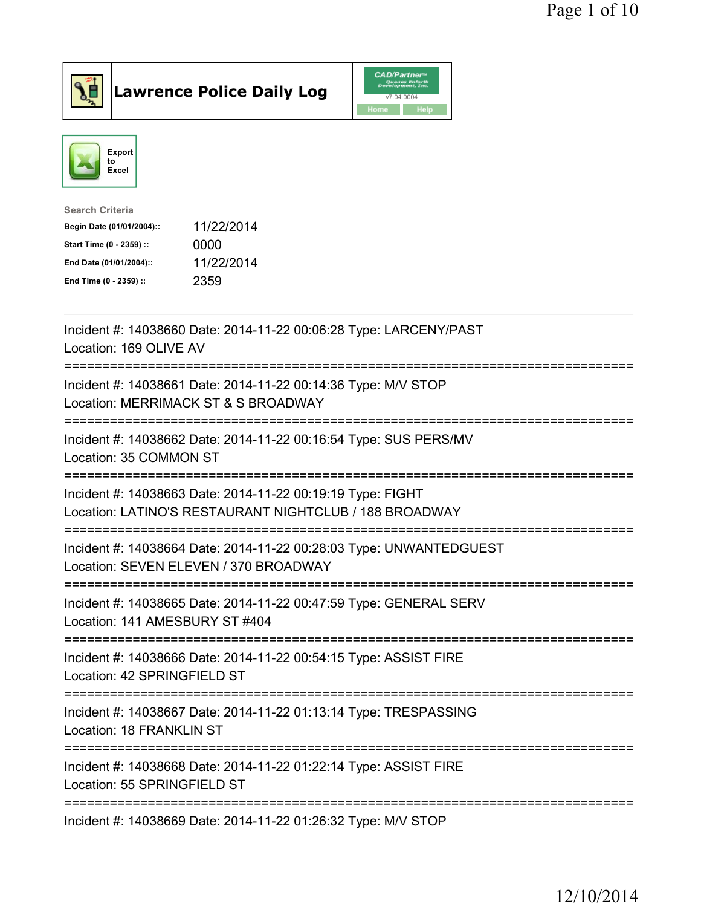



| <b>Search Criteria</b>    |            |
|---------------------------|------------|
| Begin Date (01/01/2004):: | 11/22/2014 |
| Start Time (0 - 2359) ::  | 0000       |
| End Date (01/01/2004)::   | 11/22/2014 |
| End Time (0 - 2359) ::    | 2359       |
|                           |            |

| Incident #: 14038660 Date: 2014-11-22 00:06:28 Type: LARCENY/PAST<br>Location: 169 OLIVE AV                          |
|----------------------------------------------------------------------------------------------------------------------|
| Incident #: 14038661 Date: 2014-11-22 00:14:36 Type: M/V STOP<br>Location: MERRIMACK ST & S BROADWAY                 |
| Incident #: 14038662 Date: 2014-11-22 00:16:54 Type: SUS PERS/MV<br>Location: 35 COMMON ST                           |
| Incident #: 14038663 Date: 2014-11-22 00:19:19 Type: FIGHT<br>Location: LATINO'S RESTAURANT NIGHTCLUB / 188 BROADWAY |
| Incident #: 14038664 Date: 2014-11-22 00:28:03 Type: UNWANTEDGUEST<br>Location: SEVEN ELEVEN / 370 BROADWAY          |
| Incident #: 14038665 Date: 2014-11-22 00:47:59 Type: GENERAL SERV<br>Location: 141 AMESBURY ST #404                  |
|                                                                                                                      |
| Incident #: 14038666 Date: 2014-11-22 00:54:15 Type: ASSIST FIRE<br>Location: 42 SPRINGFIELD ST                      |
| Incident #: 14038667 Date: 2014-11-22 01:13:14 Type: TRESPASSING<br>Location: 18 FRANKLIN ST                         |
| Incident #: 14038668 Date: 2014-11-22 01:22:14 Type: ASSIST FIRE<br>Location: 55 SPRINGFIELD ST                      |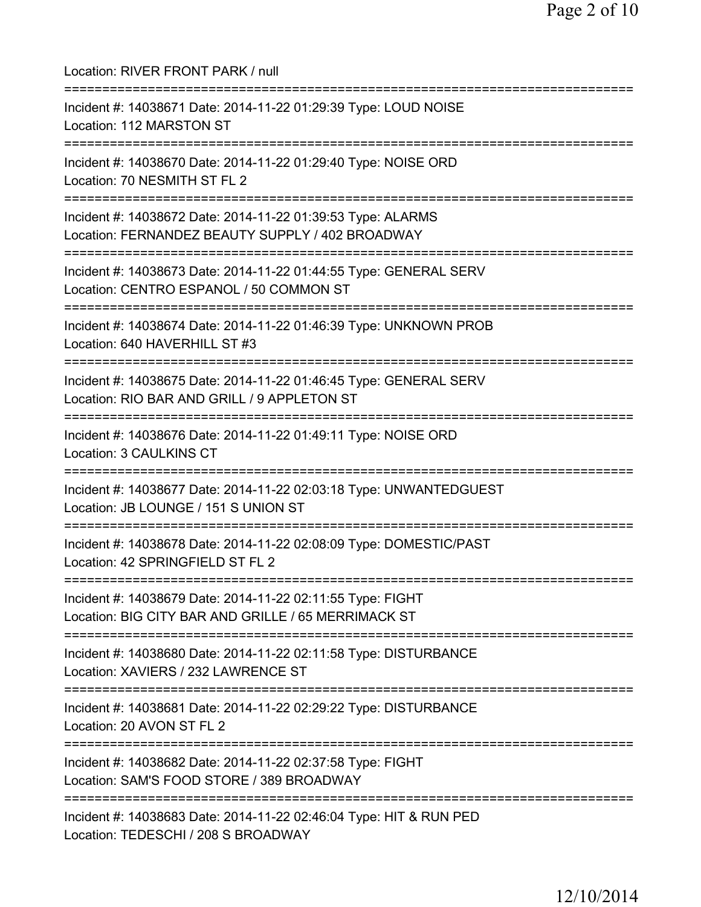Location: RIVER FRONT PARK / null =========================================================================== Incident #: 14038671 Date: 2014-11-22 01:29:39 Type: LOUD NOISE Location: 112 MARSTON ST =========================================================================== Incident #: 14038670 Date: 2014-11-22 01:29:40 Type: NOISE ORD Location: 70 NESMITH ST FL 2 =========================================================================== Incident #: 14038672 Date: 2014-11-22 01:39:53 Type: ALARMS Location: FERNANDEZ BEAUTY SUPPLY / 402 BROADWAY =========================================================================== Incident #: 14038673 Date: 2014-11-22 01:44:55 Type: GENERAL SERV Location: CENTRO ESPANOL / 50 COMMON ST =========================================================================== Incident #: 14038674 Date: 2014-11-22 01:46:39 Type: UNKNOWN PROB Location: 640 HAVERHILL ST #3 =========================================================================== Incident #: 14038675 Date: 2014-11-22 01:46:45 Type: GENERAL SERV Location: RIO BAR AND GRILL / 9 APPLETON ST =========================================================================== Incident #: 14038676 Date: 2014-11-22 01:49:11 Type: NOISE ORD Location: 3 CAULKINS CT =========================================================================== Incident #: 14038677 Date: 2014-11-22 02:03:18 Type: UNWANTEDGUEST Location: JB LOUNGE / 151 S UNION ST =========================================================================== Incident #: 14038678 Date: 2014-11-22 02:08:09 Type: DOMESTIC/PAST Location: 42 SPRINGFIELD ST FL 2 =========================================================================== Incident #: 14038679 Date: 2014-11-22 02:11:55 Type: FIGHT Location: BIG CITY BAR AND GRILLE / 65 MERRIMACK ST =========================================================================== Incident #: 14038680 Date: 2014-11-22 02:11:58 Type: DISTURBANCE Location: XAVIERS / 232 LAWRENCE ST =========================================================================== Incident #: 14038681 Date: 2014-11-22 02:29:22 Type: DISTURBANCE Location: 20 AVON ST FL 2 =========================================================================== Incident #: 14038682 Date: 2014-11-22 02:37:58 Type: FIGHT Location: SAM'S FOOD STORE / 389 BROADWAY =========================================================================== Incident #: 14038683 Date: 2014-11-22 02:46:04 Type: HIT & RUN PED Location: TEDESCHI / 208 S BROADWAY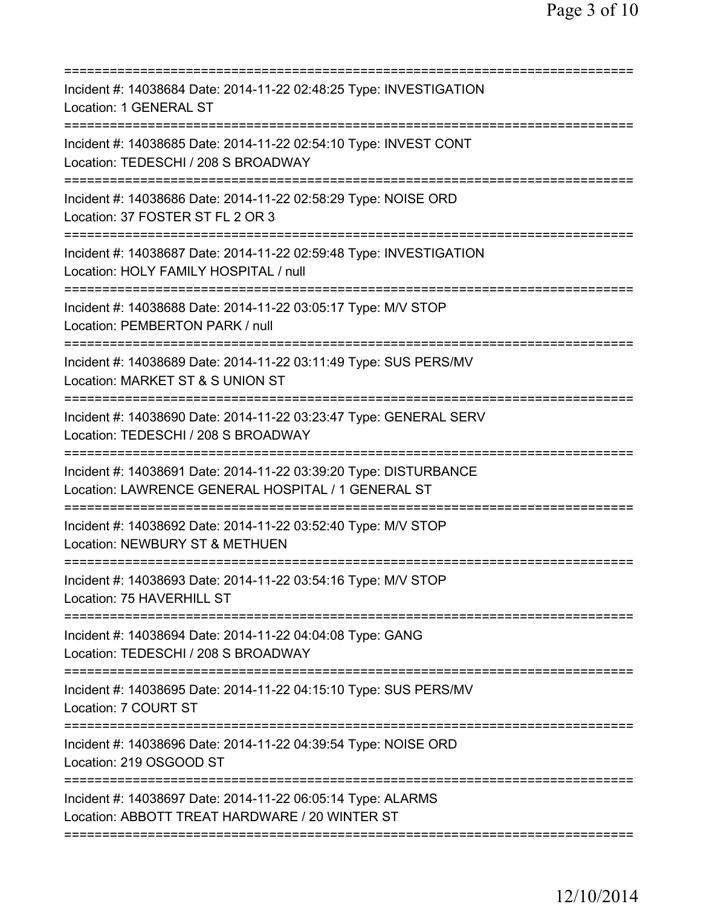| Incident #: 14038684 Date: 2014-11-22 02:48:25 Type: INVESTIGATION<br><b>Location: 1 GENERAL ST</b><br>==================                                     |
|---------------------------------------------------------------------------------------------------------------------------------------------------------------|
| Incident #: 14038685 Date: 2014-11-22 02:54:10 Type: INVEST CONT<br>Location: TEDESCHI / 208 S BROADWAY                                                       |
| Incident #: 14038686 Date: 2014-11-22 02:58:29 Type: NOISE ORD<br>Location: 37 FOSTER ST FL 2 OR 3                                                            |
| Incident #: 14038687 Date: 2014-11-22 02:59:48 Type: INVESTIGATION<br>Location: HOLY FAMILY HOSPITAL / null<br>=======================                        |
| Incident #: 14038688 Date: 2014-11-22 03:05:17 Type: M/V STOP<br>Location: PEMBERTON PARK / null                                                              |
| =========================<br>Incident #: 14038689 Date: 2014-11-22 03:11:49 Type: SUS PERS/MV<br>Location: MARKET ST & S UNION ST<br>======================== |
| Incident #: 14038690 Date: 2014-11-22 03:23:47 Type: GENERAL SERV<br>Location: TEDESCHI / 208 S BROADWAY                                                      |
| Incident #: 14038691 Date: 2014-11-22 03:39:20 Type: DISTURBANCE<br>Location: LAWRENCE GENERAL HOSPITAL / 1 GENERAL ST<br>=================================== |
| Incident #: 14038692 Date: 2014-11-22 03:52:40 Type: M/V STOP<br>Location: NEWBURY ST & METHUEN                                                               |
| Incident #: 14038693 Date: 2014-11-22 03:54:16 Type: M/V STOP<br>Location: 75 HAVERHILL ST                                                                    |
| Incident #: 14038694 Date: 2014-11-22 04:04:08 Type: GANG<br>Location: TEDESCHI / 208 S BROADWAY                                                              |
| Incident #: 14038695 Date: 2014-11-22 04:15:10 Type: SUS PERS/MV<br>Location: 7 COURT ST                                                                      |
| Incident #: 14038696 Date: 2014-11-22 04:39:54 Type: NOISE ORD<br>Location: 219 OSGOOD ST                                                                     |
| Incident #: 14038697 Date: 2014-11-22 06:05:14 Type: ALARMS<br>Location: ABBOTT TREAT HARDWARE / 20 WINTER ST                                                 |
|                                                                                                                                                               |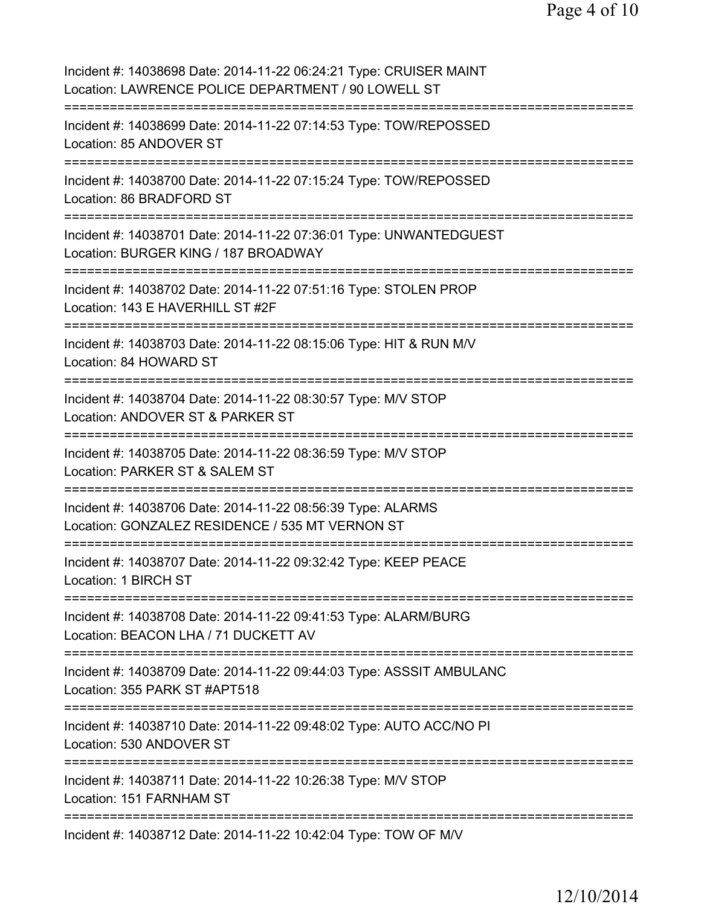| Incident #: 14038698 Date: 2014-11-22 06:24:21 Type: CRUISER MAINT<br>Location: LAWRENCE POLICE DEPARTMENT / 90 LOWELL ST                                   |
|-------------------------------------------------------------------------------------------------------------------------------------------------------------|
| Incident #: 14038699 Date: 2014-11-22 07:14:53 Type: TOW/REPOSSED<br>Location: 85 ANDOVER ST                                                                |
| Incident #: 14038700 Date: 2014-11-22 07:15:24 Type: TOW/REPOSSED<br>Location: 86 BRADFORD ST<br>=====================================                      |
| Incident #: 14038701 Date: 2014-11-22 07:36:01 Type: UNWANTEDGUEST<br>Location: BURGER KING / 187 BROADWAY<br>========================<br>================= |
| Incident #: 14038702 Date: 2014-11-22 07:51:16 Type: STOLEN PROP<br>Location: 143 E HAVERHILL ST #2F<br>============                                        |
| Incident #: 14038703 Date: 2014-11-22 08:15:06 Type: HIT & RUN M/V<br>Location: 84 HOWARD ST<br>========================                                    |
| Incident #: 14038704 Date: 2014-11-22 08:30:57 Type: M/V STOP<br>Location: ANDOVER ST & PARKER ST                                                           |
| Incident #: 14038705 Date: 2014-11-22 08:36:59 Type: M/V STOP<br>Location: PARKER ST & SALEM ST                                                             |
| Incident #: 14038706 Date: 2014-11-22 08:56:39 Type: ALARMS<br>Location: GONZALEZ RESIDENCE / 535 MT VERNON ST                                              |
| Incident #: 14038707 Date: 2014-11-22 09:32:42 Type: KEEP PEACE<br>Location: 1 BIRCH ST                                                                     |
| Incident #: 14038708 Date: 2014-11-22 09:41:53 Type: ALARM/BURG<br>Location: BEACON LHA / 71 DUCKETT AV                                                     |
| Incident #: 14038709 Date: 2014-11-22 09:44:03 Type: ASSSIT AMBULANC<br>Location: 355 PARK ST #APT518                                                       |
| Incident #: 14038710 Date: 2014-11-22 09:48:02 Type: AUTO ACC/NO PI<br>Location: 530 ANDOVER ST                                                             |
| Incident #: 14038711 Date: 2014-11-22 10:26:38 Type: M/V STOP<br>Location: 151 FARNHAM ST                                                                   |
| Incident #: 14038712 Date: 2014-11-22 10:42:04 Type: TOW OF M/V                                                                                             |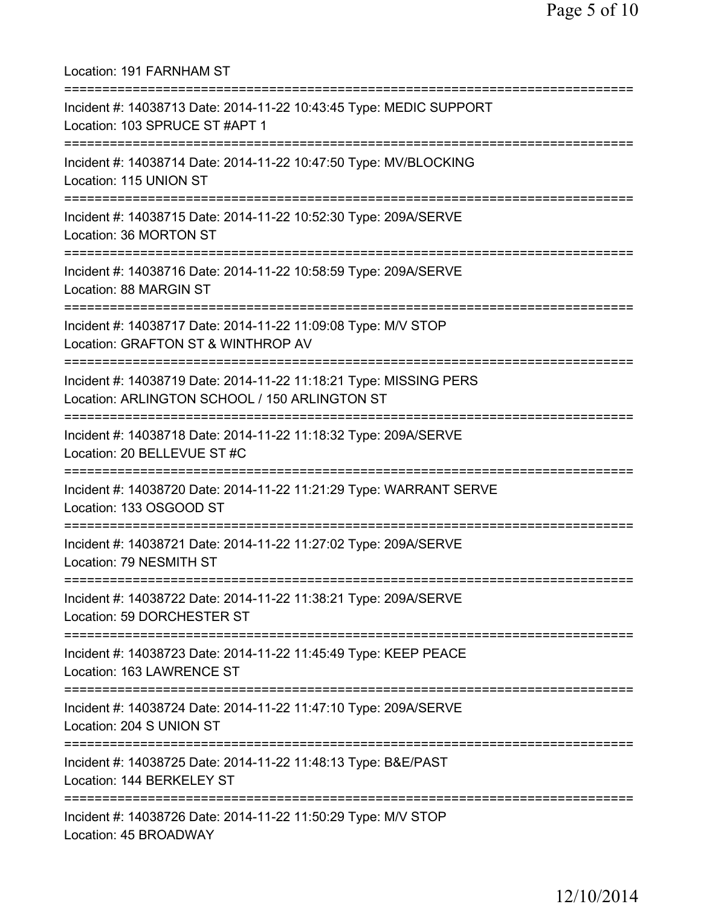Location: 191 FARNHAM ST =========================================================================== Incident #: 14038713 Date: 2014-11-22 10:43:45 Type: MEDIC SUPPORT Location: 103 SPRUCE ST #APT 1 =========================================================================== Incident #: 14038714 Date: 2014-11-22 10:47:50 Type: MV/BLOCKING Location: 115 UNION ST =========================================================================== Incident #: 14038715 Date: 2014-11-22 10:52:30 Type: 209A/SERVE Location: 36 MORTON ST =========================================================================== Incident #: 14038716 Date: 2014-11-22 10:58:59 Type: 209A/SERVE Location: 88 MARGIN ST =========================================================================== Incident #: 14038717 Date: 2014-11-22 11:09:08 Type: M/V STOP Location: GRAFTON ST & WINTHROP AV =========================================================================== Incident #: 14038719 Date: 2014-11-22 11:18:21 Type: MISSING PERS Location: ARLINGTON SCHOOL / 150 ARLINGTON ST =========================================================================== Incident #: 14038718 Date: 2014-11-22 11:18:32 Type: 209A/SERVE Location: 20 BELLEVUE ST #C =========================================================================== Incident #: 14038720 Date: 2014-11-22 11:21:29 Type: WARRANT SERVE Location: 133 OSGOOD ST =========================================================================== Incident #: 14038721 Date: 2014-11-22 11:27:02 Type: 209A/SERVE Location: 79 NESMITH ST =========================================================================== Incident #: 14038722 Date: 2014-11-22 11:38:21 Type: 209A/SERVE Location: 59 DORCHESTER ST =========================================================================== Incident #: 14038723 Date: 2014-11-22 11:45:49 Type: KEEP PEACE Location: 163 LAWRENCE ST =========================================================================== Incident #: 14038724 Date: 2014-11-22 11:47:10 Type: 209A/SERVE Location: 204 S UNION ST =========================================================================== Incident #: 14038725 Date: 2014-11-22 11:48:13 Type: B&E/PAST Location: 144 BERKELEY ST =========================================================================== Incident #: 14038726 Date: 2014-11-22 11:50:29 Type: M/V STOP Location: 45 BROADWAY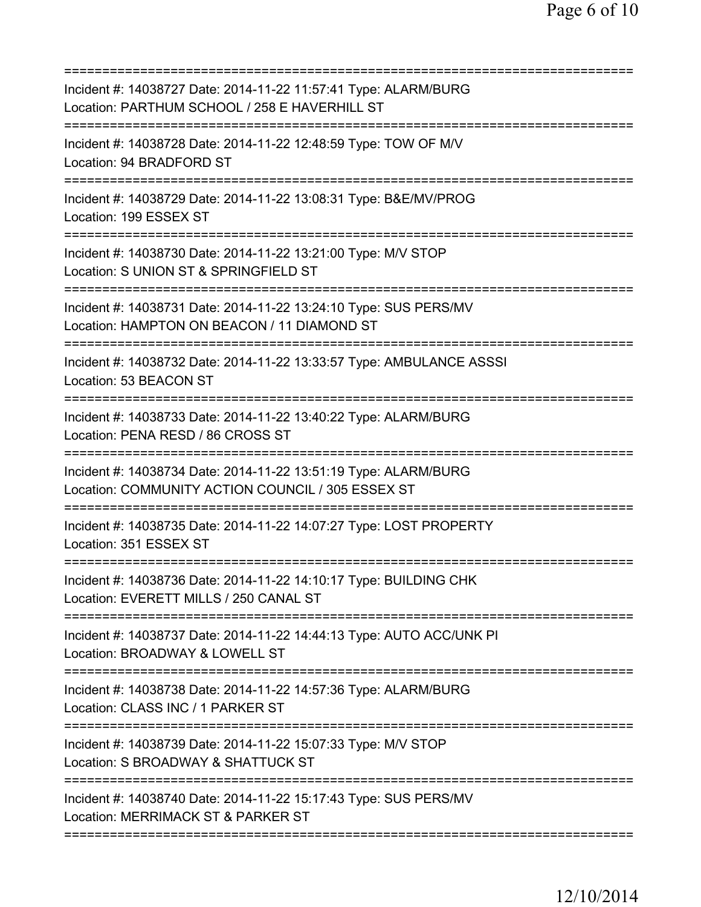=========================================================================== Incident #: 14038727 Date: 2014-11-22 11:57:41 Type: ALARM/BURG Location: PARTHUM SCHOOL / 258 E HAVERHILL ST =========================================================================== Incident #: 14038728 Date: 2014-11-22 12:48:59 Type: TOW OF M/V Location: 94 BRADFORD ST =========================================================================== Incident #: 14038729 Date: 2014-11-22 13:08:31 Type: B&E/MV/PROG Location: 199 ESSEX ST =========================================================================== Incident #: 14038730 Date: 2014-11-22 13:21:00 Type: M/V STOP Location: S UNION ST & SPRINGFIELD ST =========================================================================== Incident #: 14038731 Date: 2014-11-22 13:24:10 Type: SUS PERS/MV Location: HAMPTON ON BEACON / 11 DIAMOND ST =========================================================================== Incident #: 14038732 Date: 2014-11-22 13:33:57 Type: AMBULANCE ASSSI Location: 53 BEACON ST =========================================================================== Incident #: 14038733 Date: 2014-11-22 13:40:22 Type: ALARM/BURG Location: PENA RESD / 86 CROSS ST =========================================================================== Incident #: 14038734 Date: 2014-11-22 13:51:19 Type: ALARM/BURG Location: COMMUNITY ACTION COUNCIL / 305 ESSEX ST =========================================================================== Incident #: 14038735 Date: 2014-11-22 14:07:27 Type: LOST PROPERTY Location: 351 ESSEX ST =========================================================================== Incident #: 14038736 Date: 2014-11-22 14:10:17 Type: BUILDING CHK Location: EVERETT MILLS / 250 CANAL ST =========================================================================== Incident #: 14038737 Date: 2014-11-22 14:44:13 Type: AUTO ACC/UNK PI Location: BROADWAY & LOWELL ST =========================================================================== Incident #: 14038738 Date: 2014-11-22 14:57:36 Type: ALARM/BURG Location: CLASS INC / 1 PARKER ST =========================================================================== Incident #: 14038739 Date: 2014-11-22 15:07:33 Type: M/V STOP Location: S BROADWAY & SHATTUCK ST =========================================================================== Incident #: 14038740 Date: 2014-11-22 15:17:43 Type: SUS PERS/MV Location: MERRIMACK ST & PARKER ST ===========================================================================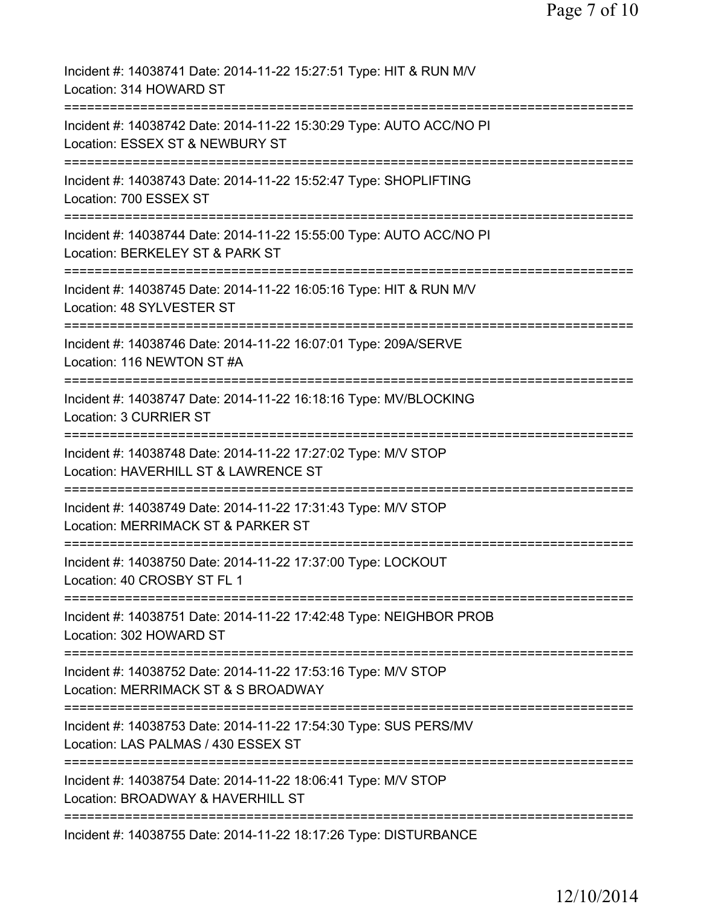| Incident #: 14038741 Date: 2014-11-22 15:27:51 Type: HIT & RUN M/V<br>Location: 314 HOWARD ST                                            |
|------------------------------------------------------------------------------------------------------------------------------------------|
| Incident #: 14038742 Date: 2014-11-22 15:30:29 Type: AUTO ACC/NO PI<br>Location: ESSEX ST & NEWBURY ST                                   |
| Incident #: 14038743 Date: 2014-11-22 15:52:47 Type: SHOPLIFTING<br>Location: 700 ESSEX ST                                               |
| Incident #: 14038744 Date: 2014-11-22 15:55:00 Type: AUTO ACC/NO PI<br>Location: BERKELEY ST & PARK ST                                   |
| Incident #: 14038745 Date: 2014-11-22 16:05:16 Type: HIT & RUN M/V<br>Location: 48 SYLVESTER ST                                          |
| Incident #: 14038746 Date: 2014-11-22 16:07:01 Type: 209A/SERVE<br>Location: 116 NEWTON ST #A                                            |
| Incident #: 14038747 Date: 2014-11-22 16:18:16 Type: MV/BLOCKING<br><b>Location: 3 CURRIER ST</b><br>=================                   |
| Incident #: 14038748 Date: 2014-11-22 17:27:02 Type: M/V STOP<br>Location: HAVERHILL ST & LAWRENCE ST                                    |
| Incident #: 14038749 Date: 2014-11-22 17:31:43 Type: M/V STOP<br>Location: MERRIMACK ST & PARKER ST                                      |
| Incident #: 14038750 Date: 2014-11-22 17:37:00 Type: LOCKOUT<br>Location: 40 CROSBY ST FL 1                                              |
| :===============<br>===================<br>Incident #: 14038751 Date: 2014-11-22 17:42:48 Type: NEIGHBOR PROB<br>Location: 302 HOWARD ST |
| ==========================<br>Incident #: 14038752 Date: 2014-11-22 17:53:16 Type: M/V STOP<br>Location: MERRIMACK ST & S BROADWAY       |
| Incident #: 14038753 Date: 2014-11-22 17:54:30 Type: SUS PERS/MV<br>Location: LAS PALMAS / 430 ESSEX ST                                  |
| Incident #: 14038754 Date: 2014-11-22 18:06:41 Type: M/V STOP<br>Location: BROADWAY & HAVERHILL ST                                       |
| Incident #: 14038755 Date: 2014-11-22 18:17:26 Type: DISTURBANCE                                                                         |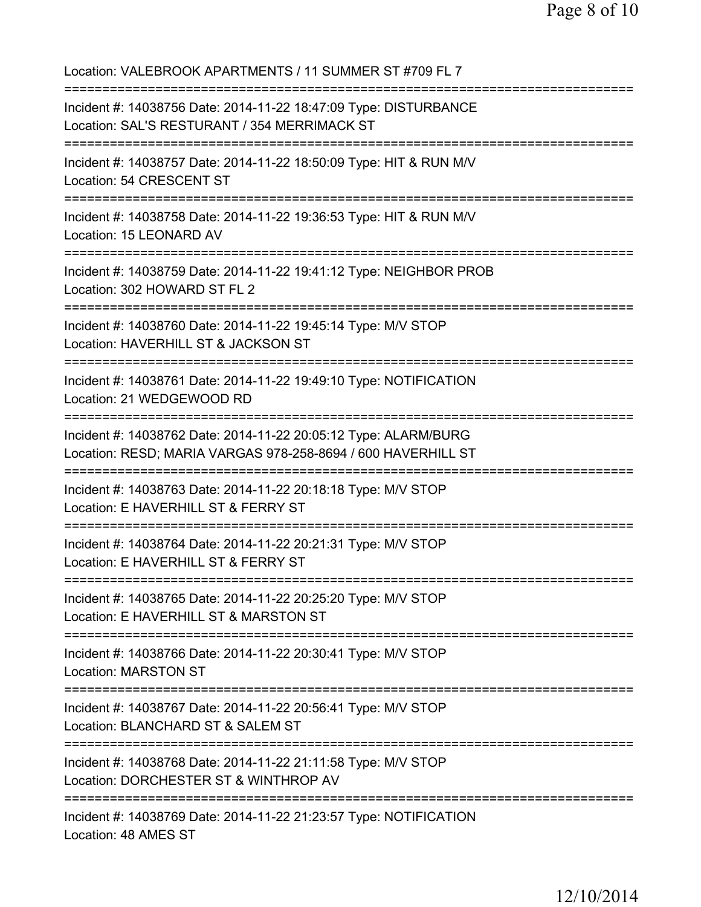Location: VALEBROOK APARTMENTS / 11 SUMMER ST #709 FL 7 =========================================================================== Incident #: 14038756 Date: 2014-11-22 18:47:09 Type: DISTURBANCE Location: SAL'S RESTURANT / 354 MERRIMACK ST =========================================================================== Incident #: 14038757 Date: 2014-11-22 18:50:09 Type: HIT & RUN M/V Location: 54 CRESCENT ST =========================================================================== Incident #: 14038758 Date: 2014-11-22 19:36:53 Type: HIT & RUN M/V Location: 15 LEONARD AV =========================================================================== Incident #: 14038759 Date: 2014-11-22 19:41:12 Type: NEIGHBOR PROB Location: 302 HOWARD ST FL 2 =========================================================================== Incident #: 14038760 Date: 2014-11-22 19:45:14 Type: M/V STOP Location: HAVERHILL ST & JACKSON ST =========================================================================== Incident #: 14038761 Date: 2014-11-22 19:49:10 Type: NOTIFICATION Location: 21 WEDGEWOOD RD =========================================================================== Incident #: 14038762 Date: 2014-11-22 20:05:12 Type: ALARM/BURG Location: RESD; MARIA VARGAS 978-258-8694 / 600 HAVERHILL ST =========================================================================== Incident #: 14038763 Date: 2014-11-22 20:18:18 Type: M/V STOP Location: E HAVERHILL ST & FERRY ST =========================================================================== Incident #: 14038764 Date: 2014-11-22 20:21:31 Type: M/V STOP Location: E HAVERHILL ST & FERRY ST =========================================================================== Incident #: 14038765 Date: 2014-11-22 20:25:20 Type: M/V STOP Location: E HAVERHILL ST & MARSTON ST =========================================================================== Incident #: 14038766 Date: 2014-11-22 20:30:41 Type: M/V STOP Location: MARSTON ST =========================================================================== Incident #: 14038767 Date: 2014-11-22 20:56:41 Type: M/V STOP Location: BLANCHARD ST & SALEM ST =========================================================================== Incident #: 14038768 Date: 2014-11-22 21:11:58 Type: M/V STOP Location: DORCHESTER ST & WINTHROP AV =========================================================================== Incident #: 14038769 Date: 2014-11-22 21:23:57 Type: NOTIFICATION Location: 48 AMES ST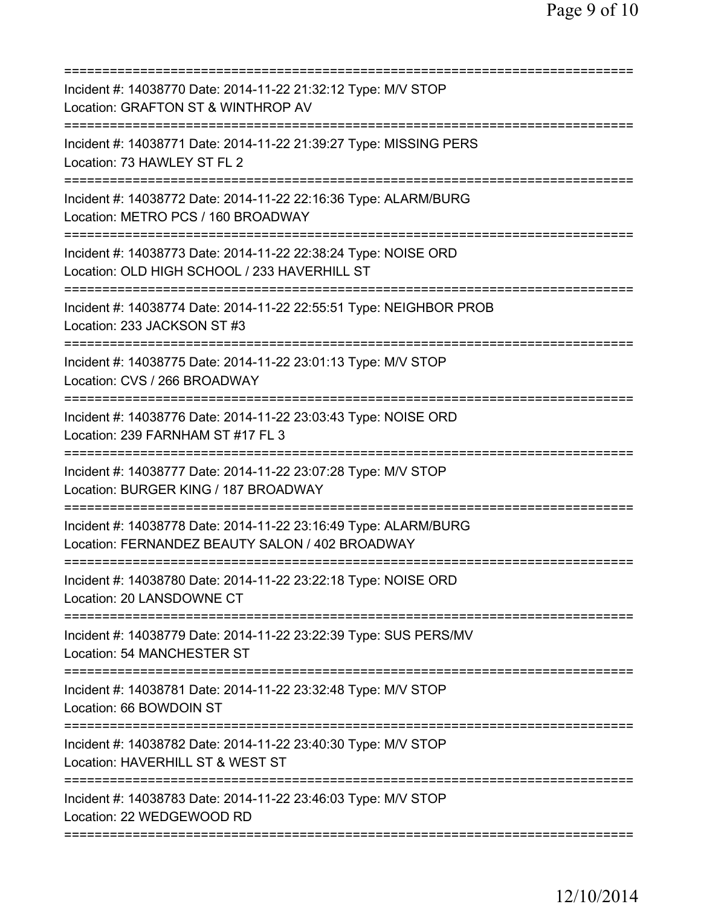| Incident #: 14038770 Date: 2014-11-22 21:32:12 Type: M/V STOP<br>Location: GRAFTON ST & WINTHROP AV                                                |
|----------------------------------------------------------------------------------------------------------------------------------------------------|
| Incident #: 14038771 Date: 2014-11-22 21:39:27 Type: MISSING PERS<br>Location: 73 HAWLEY ST FL 2                                                   |
| Incident #: 14038772 Date: 2014-11-22 22:16:36 Type: ALARM/BURG<br>Location: METRO PCS / 160 BROADWAY                                              |
| Incident #: 14038773 Date: 2014-11-22 22:38:24 Type: NOISE ORD<br>Location: OLD HIGH SCHOOL / 233 HAVERHILL ST<br>================================ |
| Incident #: 14038774 Date: 2014-11-22 22:55:51 Type: NEIGHBOR PROB<br>Location: 233 JACKSON ST #3                                                  |
| Incident #: 14038775 Date: 2014-11-22 23:01:13 Type: M/V STOP<br>Location: CVS / 266 BROADWAY<br>========                                          |
| Incident #: 14038776 Date: 2014-11-22 23:03:43 Type: NOISE ORD<br>Location: 239 FARNHAM ST #17 FL 3                                                |
| Incident #: 14038777 Date: 2014-11-22 23:07:28 Type: M/V STOP<br>Location: BURGER KING / 187 BROADWAY                                              |
| Incident #: 14038778 Date: 2014-11-22 23:16:49 Type: ALARM/BURG<br>Location: FERNANDEZ BEAUTY SALON / 402 BROADWAY                                 |
| Incident #: 14038780 Date: 2014-11-22 23:22:18 Type: NOISE ORD<br>Location: 20 LANSDOWNE CT<br>========================                            |
| Incident #: 14038779 Date: 2014-11-22 23:22:39 Type: SUS PERS/MV<br>Location: 54 MANCHESTER ST                                                     |
| Incident #: 14038781 Date: 2014-11-22 23:32:48 Type: M/V STOP<br>Location: 66 BOWDOIN ST                                                           |
| Incident #: 14038782 Date: 2014-11-22 23:40:30 Type: M/V STOP<br>Location: HAVERHILL ST & WEST ST                                                  |
| Incident #: 14038783 Date: 2014-11-22 23:46:03 Type: M/V STOP<br>Location: 22 WEDGEWOOD RD                                                         |
|                                                                                                                                                    |